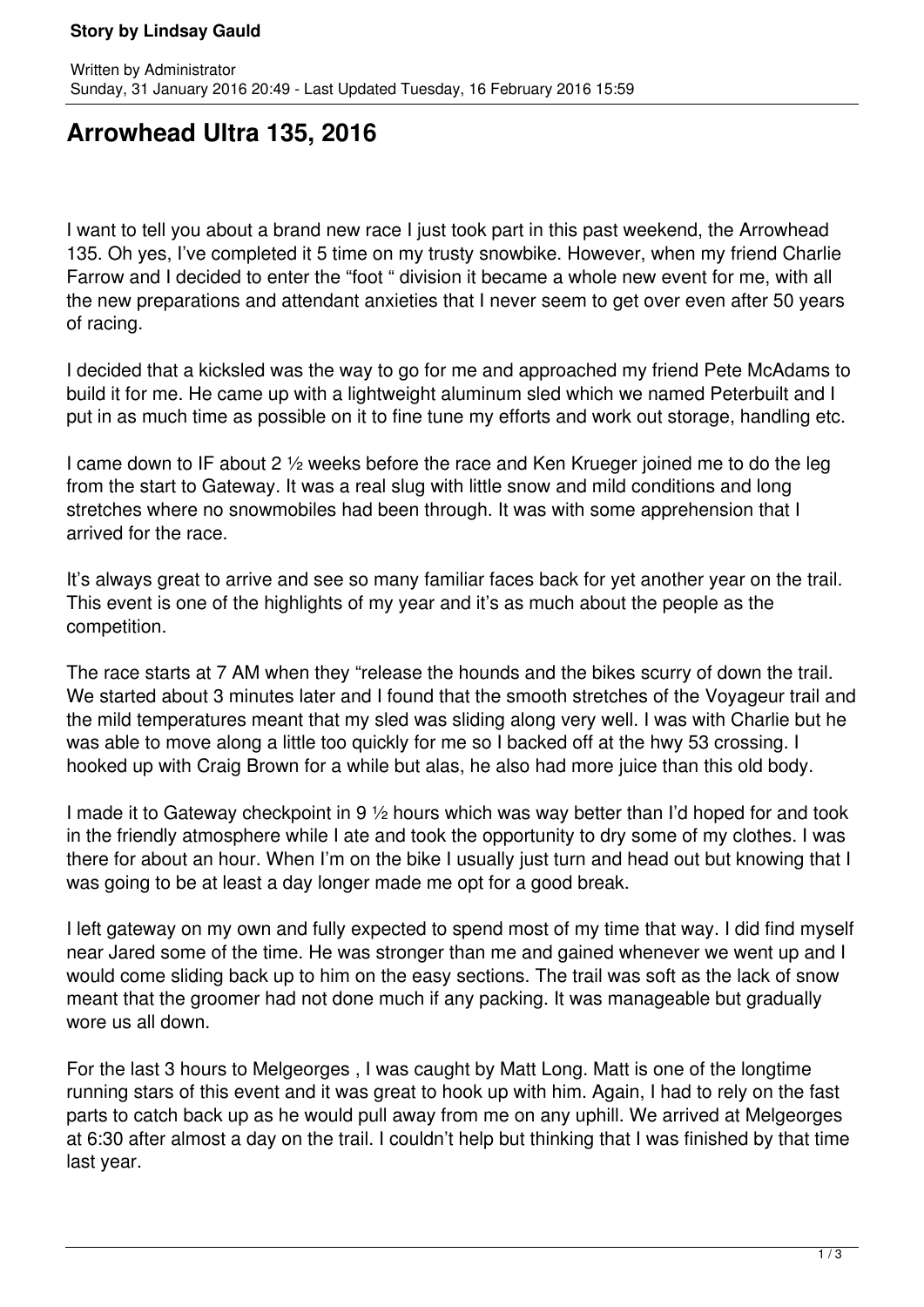## **Story by Lindsay Gauld**

## **Arrowhead Ultra 135, 2016**

I want to tell you about a brand new race I just took part in this past weekend, the Arrowhead 135. Oh yes, I've completed it 5 time on my trusty snowbike. However, when my friend Charlie Farrow and I decided to enter the "foot " division it became a whole new event for me, with all the new preparations and attendant anxieties that I never seem to get over even after 50 years of racing.

I decided that a kicksled was the way to go for me and approached my friend Pete McAdams to build it for me. He came up with a lightweight aluminum sled which we named Peterbuilt and I put in as much time as possible on it to fine tune my efforts and work out storage, handling etc.

I came down to IF about 2 ½ weeks before the race and Ken Krueger joined me to do the leg from the start to Gateway. It was a real slug with little snow and mild conditions and long stretches where no snowmobiles had been through. It was with some apprehension that I arrived for the race.

It's always great to arrive and see so many familiar faces back for yet another year on the trail. This event is one of the highlights of my year and it's as much about the people as the competition.

The race starts at 7 AM when they "release the hounds and the bikes scurry of down the trail. We started about 3 minutes later and I found that the smooth stretches of the Voyageur trail and the mild temperatures meant that my sled was sliding along very well. I was with Charlie but he was able to move along a little too quickly for me so I backed off at the hwy 53 crossing. I hooked up with Craig Brown for a while but alas, he also had more juice than this old body.

I made it to Gateway checkpoint in 9 ½ hours which was way better than I'd hoped for and took in the friendly atmosphere while I ate and took the opportunity to dry some of my clothes. I was there for about an hour. When I'm on the bike I usually just turn and head out but knowing that I was going to be at least a day longer made me opt for a good break.

I left gateway on my own and fully expected to spend most of my time that way. I did find myself near Jared some of the time. He was stronger than me and gained whenever we went up and I would come sliding back up to him on the easy sections. The trail was soft as the lack of snow meant that the groomer had not done much if any packing. It was manageable but gradually wore us all down.

For the last 3 hours to Melgeorges , I was caught by Matt Long. Matt is one of the longtime running stars of this event and it was great to hook up with him. Again, I had to rely on the fast parts to catch back up as he would pull away from me on any uphill. We arrived at Melgeorges at 6:30 after almost a day on the trail. I couldn't help but thinking that I was finished by that time last year.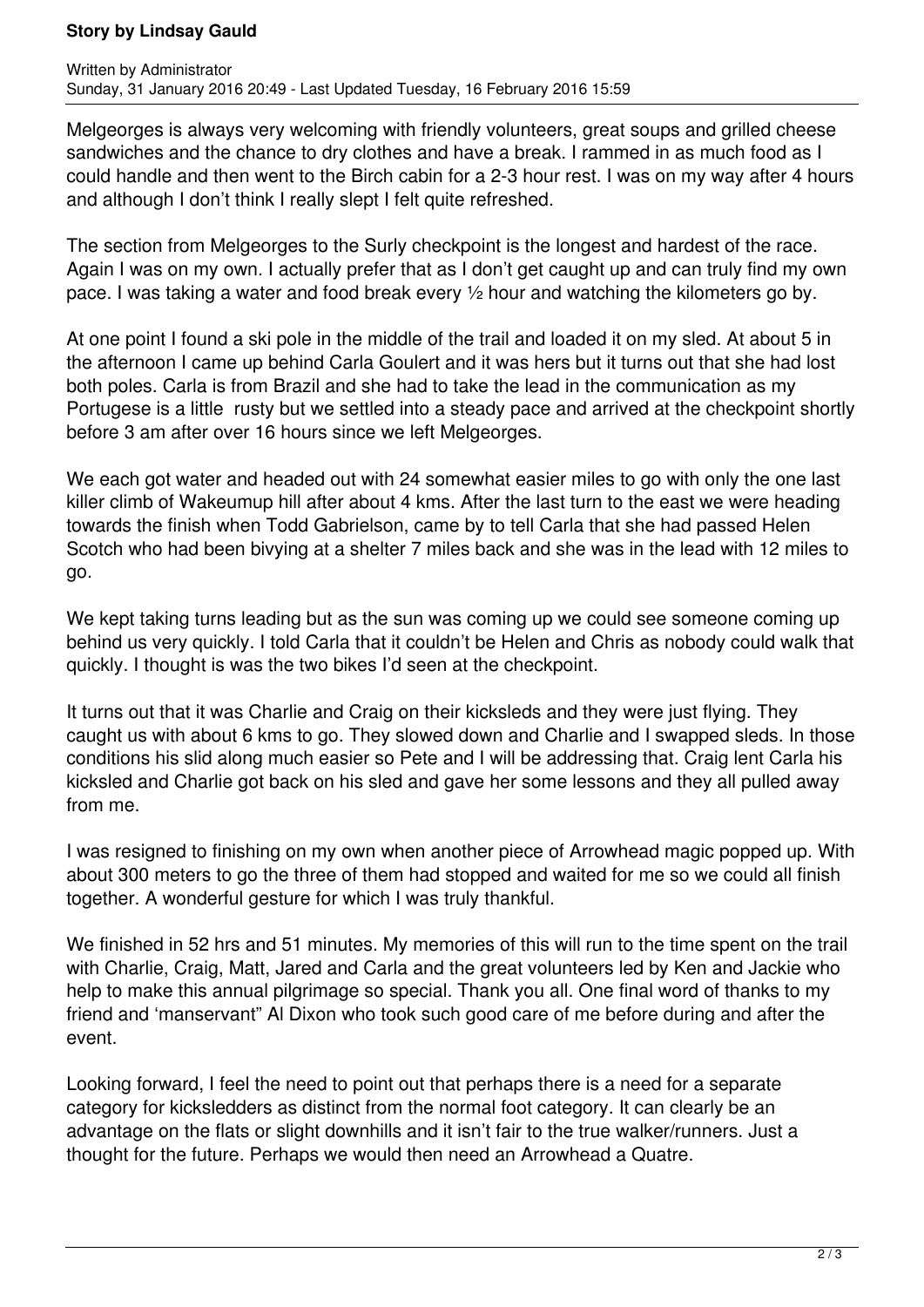## **Story by Lindsay Gauld**

Melgeorges is always very welcoming with friendly volunteers, great soups and grilled cheese sandwiches and the chance to dry clothes and have a break. I rammed in as much food as I could handle and then went to the Birch cabin for a 2-3 hour rest. I was on my way after 4 hours and although I don't think I really slept I felt quite refreshed.

The section from Melgeorges to the Surly checkpoint is the longest and hardest of the race. Again I was on my own. I actually prefer that as I don't get caught up and can truly find my own pace. I was taking a water and food break every ½ hour and watching the kilometers go by.

At one point I found a ski pole in the middle of the trail and loaded it on my sled. At about 5 in the afternoon I came up behind Carla Goulert and it was hers but it turns out that she had lost both poles. Carla is from Brazil and she had to take the lead in the communication as my Portugese is a little rusty but we settled into a steady pace and arrived at the checkpoint shortly before 3 am after over 16 hours since we left Melgeorges.

We each got water and headed out with 24 somewhat easier miles to go with only the one last killer climb of Wakeumup hill after about 4 kms. After the last turn to the east we were heading towards the finish when Todd Gabrielson, came by to tell Carla that she had passed Helen Scotch who had been bivying at a shelter 7 miles back and she was in the lead with 12 miles to go.

We kept taking turns leading but as the sun was coming up we could see someone coming up behind us very quickly. I told Carla that it couldn't be Helen and Chris as nobody could walk that quickly. I thought is was the two bikes I'd seen at the checkpoint.

It turns out that it was Charlie and Craig on their kicksleds and they were just flying. They caught us with about 6 kms to go. They slowed down and Charlie and I swapped sleds. In those conditions his slid along much easier so Pete and I will be addressing that. Craig lent Carla his kicksled and Charlie got back on his sled and gave her some lessons and they all pulled away from me.

I was resigned to finishing on my own when another piece of Arrowhead magic popped up. With about 300 meters to go the three of them had stopped and waited for me so we could all finish together. A wonderful gesture for which I was truly thankful.

We finished in 52 hrs and 51 minutes. My memories of this will run to the time spent on the trail with Charlie, Craig, Matt, Jared and Carla and the great volunteers led by Ken and Jackie who help to make this annual pilgrimage so special. Thank you all. One final word of thanks to my friend and 'manservant" Al Dixon who took such good care of me before during and after the event.

Looking forward, I feel the need to point out that perhaps there is a need for a separate category for kicksledders as distinct from the normal foot category. It can clearly be an advantage on the flats or slight downhills and it isn't fair to the true walker/runners. Just a thought for the future. Perhaps we would then need an Arrowhead a Quatre.